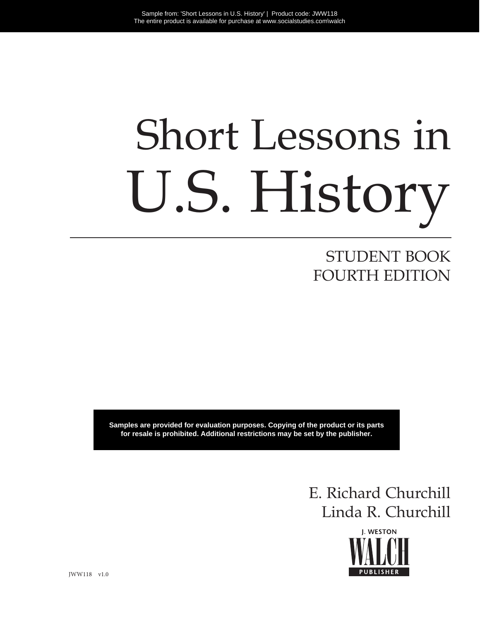# U.S. History Short Lessons in

STUDENT BOOK FOURTH EDITION

**Samples are provided for evaluation purposes. Copying of the product or its parts for resale is prohibited. Additional restrictions may be set by the publisher.**

> E. Richard Churchill Linda R. Churchill

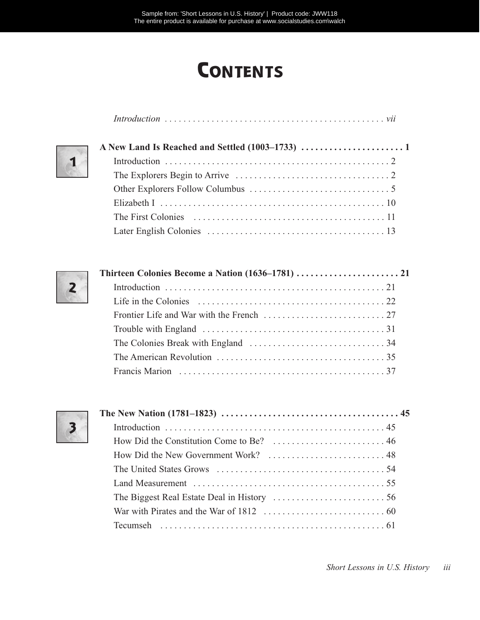# **CONTENTS**

|  | $Introduction \dots \dots \dots \dots \dots \dots \dots \dots \dots \dots \dots \dots \dots \dots \dots \dots$ |  |  |
|--|----------------------------------------------------------------------------------------------------------------|--|--|
|--|----------------------------------------------------------------------------------------------------------------|--|--|





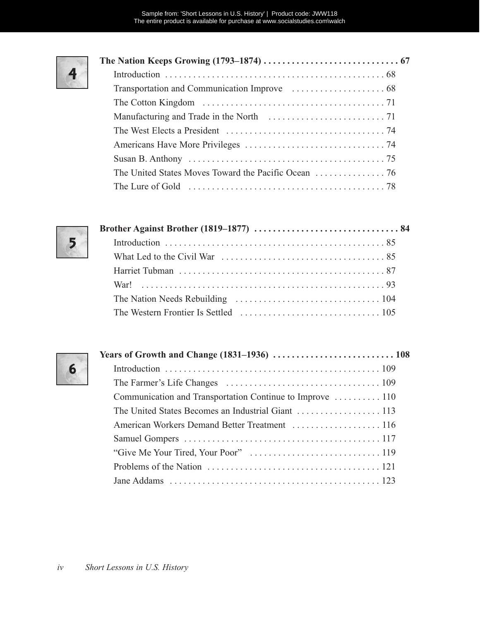





| Communication and Transportation Continue to Improve  110 |  |
|-----------------------------------------------------------|--|
|                                                           |  |
|                                                           |  |
|                                                           |  |
|                                                           |  |
|                                                           |  |
|                                                           |  |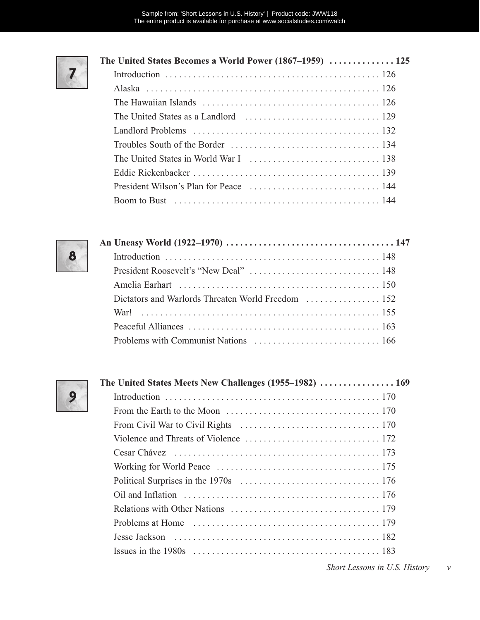

| The United States Becomes a World Power (1867–1959)  125 |  |
|----------------------------------------------------------|--|
|                                                          |  |
|                                                          |  |
|                                                          |  |
|                                                          |  |
|                                                          |  |
|                                                          |  |
|                                                          |  |
|                                                          |  |
|                                                          |  |
|                                                          |  |





| The United States Meets New Challenges (1955–1982)  169                                                    |  |
|------------------------------------------------------------------------------------------------------------|--|
|                                                                                                            |  |
|                                                                                                            |  |
|                                                                                                            |  |
|                                                                                                            |  |
| Cesar Chávez (al. 1973)                                                                                    |  |
|                                                                                                            |  |
|                                                                                                            |  |
|                                                                                                            |  |
|                                                                                                            |  |
|                                                                                                            |  |
| Jesse Jackson $\ldots \ldots \ldots \ldots \ldots \ldots \ldots \ldots \ldots \ldots \ldots \ldots \ldots$ |  |
|                                                                                                            |  |
|                                                                                                            |  |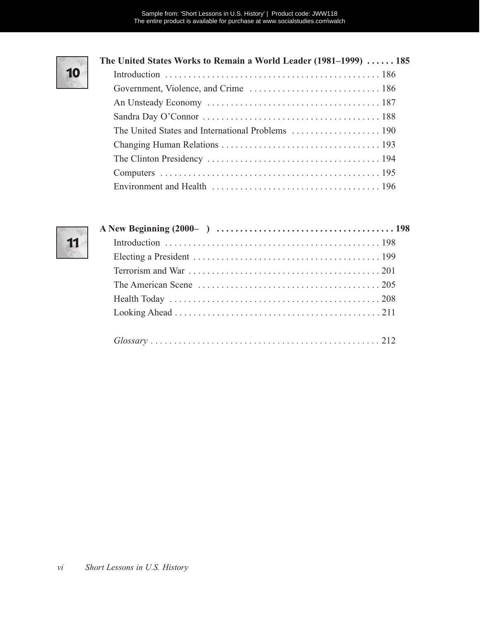

| The United States Works to Remain a World Leader (1981–1999)  185 |  |  |
|-------------------------------------------------------------------|--|--|
|                                                                   |  |  |
|                                                                   |  |  |
|                                                                   |  |  |
|                                                                   |  |  |
|                                                                   |  |  |
|                                                                   |  |  |
|                                                                   |  |  |
|                                                                   |  |  |
|                                                                   |  |  |

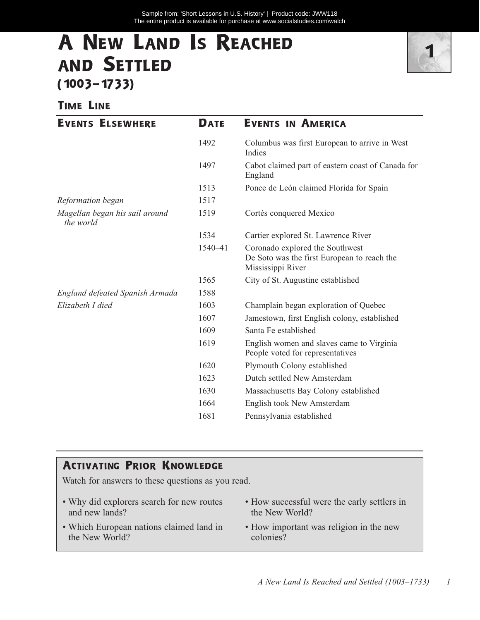#### Sample from: 'Short Lessons in U.S. History' | Product code: JWW118 The entire product is available for purchase at www.socialstudies.com\walch

## A NEW LAND IS REACHED **AND SETTLED** (1003–1733)



#### TIME LINE

| <b>EVENTS ELSEWHERE</b>                     | <b>DATE</b> | <b>EVENTS IN AMERICA</b>                                                                            |
|---------------------------------------------|-------------|-----------------------------------------------------------------------------------------------------|
|                                             | 1492        | Columbus was first European to arrive in West<br>Indies                                             |
|                                             | 1497        | Cabot claimed part of eastern coast of Canada for<br>England                                        |
|                                             | 1513        | Ponce de León claimed Florida for Spain                                                             |
| Reformation began                           | 1517        |                                                                                                     |
| Magellan began his sail around<br>the world | 1519        | Cortés conquered Mexico                                                                             |
|                                             | 1534        | Cartier explored St. Lawrence River                                                                 |
|                                             | 1540-41     | Coronado explored the Southwest<br>De Soto was the first European to reach the<br>Mississippi River |
|                                             | 1565        | City of St. Augustine established                                                                   |
| England defeated Spanish Armada             | 1588        |                                                                                                     |
| Elizabeth I died                            | 1603        | Champlain began exploration of Quebec                                                               |
|                                             | 1607        | Jamestown, first English colony, established                                                        |
|                                             | 1609        | Santa Fe established                                                                                |
|                                             | 1619        | English women and slaves came to Virginia<br>People voted for representatives                       |
|                                             | 1620        | Plymouth Colony established                                                                         |
|                                             | 1623        | Dutch settled New Amsterdam                                                                         |
|                                             | 1630        | Massachusetts Bay Colony established                                                                |
|                                             | 1664        | English took New Amsterdam                                                                          |
|                                             | 1681        | Pennsylvania established                                                                            |

#### ACTIVATING PRIOR KNOWLEDGE

Watch for answers to these questions as you read.

- Why did explorers search for new routes and new lands? • How successful were the early settlers in the New World?
- Which European nations claimed land in the New World?
- How important was religion in the new colonies?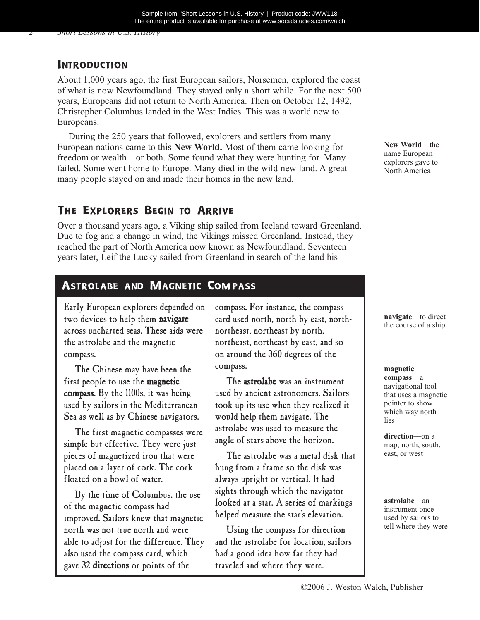## **INTRODUCTION**

About 1,000 years ago, the first European sailors, Norsemen, explored the coast of what is now Newfoundland. They stayed only a short while. For the next 500 years, Europeans did not return to North America. Then on October 12, 1492, Christopher Columbus landed in the West Indies. This was a world new to Europeans.

During the 250 years that followed, explorers and settlers from many European nations came to this New World. Most of them came looking for freedom or wealth—or both. Some found what they were hunting for. Many failed. Some went home to Europe. Many died in the wild new land. A great many people stayed on and made their homes in the new land.

#### THE EXPLORERS BEGIN TO ARRIVE

Over a thousand years ago, a Viking ship sailed from Iceland toward Greenland. Due to fog and a change in wind, the Vikings missed Greenland. Instead, they reached the part of North America now known as Newfoundland. Seventeen years later, Leif the Lucky sailed from Greenland in search of the land his

## ASTROLABE AND MAGNETIC COMPASS

Early European explorers depended on two devices to help them navigate across uncharted seas. These aids were the astrolabe and the magnetic compass.

The Chinese may have been the first people to use the magnetic compass. By the 1100s, it was being used by sailors in the Mediterranean Sea as well as by Chinese navigators.

The first magnetic compasses were simple but effective. They were just pieces of magnetized iron that were placed on a layer of cork. The cork floated on a bowl of water.

By the time of Columbus, the use of the magnetic compass had improved. Sailors knew that magnetic north was not true north and were able to adjust for the difference. They also used the compass card, which gave 32 directions or points of the

compass. For instance, the compass card used north, north by east, northnortheast, northeast by north, northeast, northeast by east, and so on around the 360 degrees of the compass.

The **astrolabe** was an instrument used by ancient astronomers. Sailors took up its use when they realized it would help them navigate. The astrolabe was used to measure the angle of stars above the horizon.

The astrolabe was a metal disk that hung from a frame so the disk was always upright or vertical. It had sights through which the navigator looked at a star. A series of markings helped measure the star's elevation.

Using the compass for direction and the astrolabe for location, sailors had a good idea how far they had traveled and where they were.

New World—the name European explorers gave to North America

navigate—to direct the course of a ship

#### magnetic

compass—a navigational tool that uses a magnetic pointer to show which way north lies

direction-on a map, north, south, east, or west

astrolabe—an instrument once used by sailors to tell where they were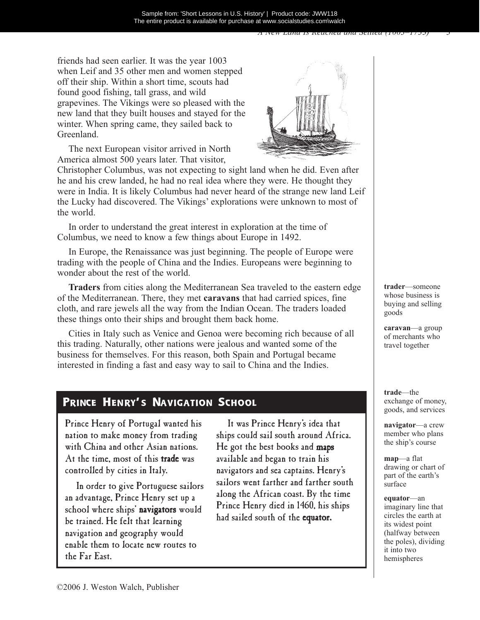#### *A New Land Is Reached and Settled (1003–1733) 3*

friends had seen earlier. It was the year 1003 when Leif and 35 other men and women stepped off their ship. Within a short time, scouts had found good fishing, tall grass, and wild grapevines. The Vikings were so pleased with the new land that they built houses and stayed for the winter. When spring came, they sailed back to Greenland.

The next European visitor arrived in North America almost 500 years later. That visitor,

Christopher Columbus, was not expecting to sight land when he did. Even after he and his crew landed, he had no real idea where they were. He thought they were in India. It is likely Columbus had never heard of the strange new land Leif the Lucky had discovered. The Vikings' explorations were unknown to most of the world.

In order to understand the great interest in exploration at the time of Columbus, we need to know a few things about Europe in 1492.

In Europe, the Renaissance was just beginning. The people of Europe were trading with the people of China and the Indies. Europeans were beginning to wonder about the rest of the world.

Traders from cities along the Mediterranean Sea traveled to the eastern edge of the Mediterranean. There, they met caravans that had carried spices, fine cloth, and rare jewels all the way from the Indian Ocean. The traders loaded these things onto their ships and brought them back home.

Cities in Italy such as Venice and Genoa were becoming rich because of all this trading. Naturally, other nations were jealous and wanted some of the business for themselves. For this reason, both Spain and Portugal became interested in finding a fast and easy way to sail to China and the Indies.

#### PRINCE HENRY'S NAVIGATION SCHOOL

Prince Henry of Portugal wanted his nation to make money from trading with China and other Asian nations. At the time, most of this trade was controlled by cities in Italy.

In order to give Portuguese sailors an advantage, Prince Henry set up a school where ships' navigators would be trained. He felt that learning navigation and geography would enable them to locate new routes to the Far East.

It was Prince Henry's idea that ships could sail south around Africa. He got the best books and maps available and began to train his navigators and sea captains. Henry's sailors went farther and farther south along the African coast. By the time Prince Henry died in 1460, his ships had sailed south of the equator.



caravan—a group of merchants who travel together

trade—the exchange of money, goods, and services

navigator—a crew member who plans the ship's course

map—a flat drawing or chart of part of the earth's surface

equator—an imaginary line that circles the earth at its widest point (halfway between the poles), dividing it into two hemispheres